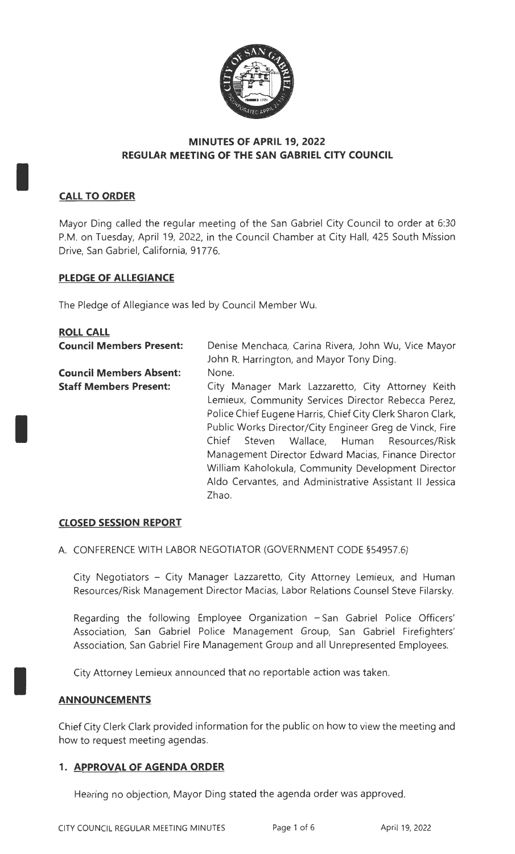

# **MINUTES OF APRIL 19, 2022 REGULAR MEETING OF THE SAN GABRIEL CITY COUNCIL**

# **CALL TO ORDER**

I

I

I

Mayor Ding called the regular meeting of the San Gabriel City Council to order at 6:30 P.M. on Tuesday, April 19, 2022, in the Council Chamber at City Hall, 425 South Mission Drive, San Gabriel, California, 91776.

# **PLEDGE OF ALLEGIANCE**

The Pledge of Allegiance was led by Council Member Wu.

| <b>ROLL CALL</b>                |                                                            |
|---------------------------------|------------------------------------------------------------|
| <b>Council Members Present:</b> | Denise Menchaca, Carina Rivera, John Wu, Vice Mayor        |
|                                 | John R. Harrington, and Mayor Tony Ding.                   |
| <b>Council Members Absent:</b>  | None.                                                      |
| <b>Staff Members Present:</b>   | City Manager Mark Lazzaretto, City Attorney Keith          |
|                                 | Lemieux, Community Services Director Rebecca Perez,        |
|                                 | Police Chief Eugene Harris, Chief City Clerk Sharon Clark, |
|                                 | Public Works Director/City Engineer Greg de Vinck, Fire    |
|                                 | Steven Wallace, Human Resources/Risk<br>Chief              |
|                                 | Management Director Edward Macias, Finance Director        |
|                                 | William Kaholokula, Community Development Director         |
|                                 | Aldo Cervantes, and Administrative Assistant II Jessica    |
|                                 | Zhao.                                                      |

# **CLOSED SESSION REPORT**

A. CONFERENCE WITH LABOR NEGOTIATOR (GOVERNMENT CODE §54957.6)

City Negotiators - City Manager Lazzaretto, City Attorney Lemieux, and Human Resources/Risk Management Director Macias, Labor Relations Counsel Steve Filarsky.

Regarding the following Employee Organization - San Gabriel Police Officers' Association, San Gabriel Police Management Group, San Gabriel Firefighters' Association, San Gabriel Fire Management Group and all Unrepresented Employees.

City Attorney Lemieux announced that no reportable action was taken.

# **ANNOUNCEMENTS**

Chief City Clerk Clark provided information for the public on how to view the meeting and how to request meeting agendas.

# **1. APPROVAL OF AGENDA ORDER**

Hearing no objection, Mayor Ding stated the agenda order was approved.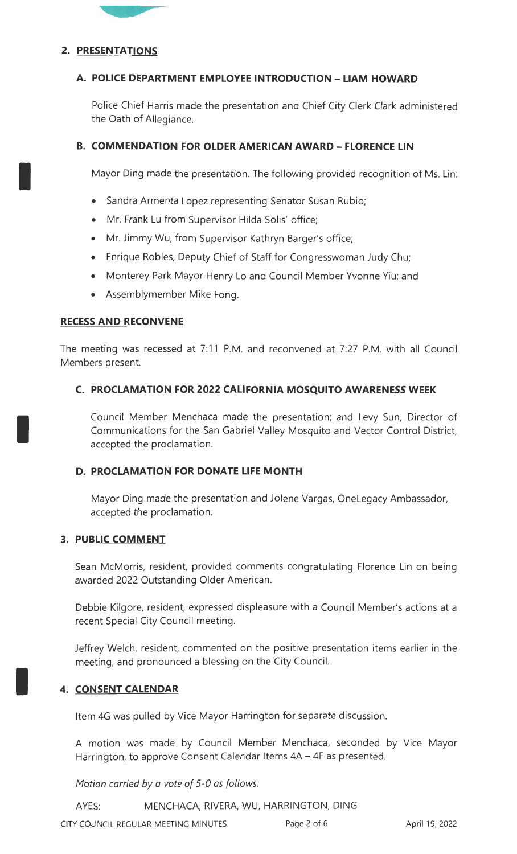

## **2. PRESENTATIONS**

I

I

I

## **A. POLICE DEPARTMENT EMPLOYEE INTRODUCTION - LIAM HOWARD**

Police Chief Harris made the presentation and Chief City Clerk Clark administered the Oath of Allegiance.

# **B. COMMENDATION FOR OLDER AMERICAN AWARD- FLORENCE LIN**

Mayor Ding made the presentation. The following provided recognition of Ms. Lin:

- Sandra Armenta Lopez representing Senator Susan Rubio;
- Mr. Frank Lu from Supervisor Hilda Solis' office;
- Mr. Jimmy Wu, from Supervisor Kathryn Barger's office;
- Enrique Robles, Deputy Chief of Staff for Congresswoman Judy Chu;
- Monterey Park Mayor Henry Lo and Council Member Yvonne Yiu; and
- Assemblymember Mike Fong.

## **RECESS AND RECONVENE**

The meeting was recessed at 7:11 P.M. and reconvened at 7:27 P.M. with all Council Members present.

## **C. PROCLAMATION FOR 2022 CALIFORNIA MOSQUITO AWARENESS WEEK**

Council Member Menchaca made the presentation; and Levy Sun, Director of Communications for the San Gabriel Valley Mosquito and Vector Control District, accepted the proclamation.

## **D. PROCLAMATION FOR DONATE LIFE MONTH**

Mayor Ding made the presentation and Jolene Vargas, OneLegacy Ambassador, accepted the proclamation.

## **3. PUBLIC COMMENT**

Sean McMorris, resident, provided comments congratulating Florence Lin on being awarded 2022 Outstanding Older American.

Debbie Kilgore, resident, expressed displeasure with a Council Member's actions at a recent Special City Council meeting.

Jeffrey Welch, resident, commented on the positive presentation items earlier in the meeting, and pronounced a blessing on the City Council.

# **4. CONSENT CALENDAR**

Item 4G was pulled by Vice Mayor Harrington for separate discussion.

A motion was made by Council Member Menchaca, seconded by Vice Mayor Harrington, to approve Consent Calendar Items 4A – 4F as presented.

Motion carried by a vote of 5-0 as follows:

AYES: MENCHACA, RIVERA, WU, HARRINGTON, DING

CITY COUNCIL REGULAR MEETING MINUTES Page 2 of 6 April 19, 2022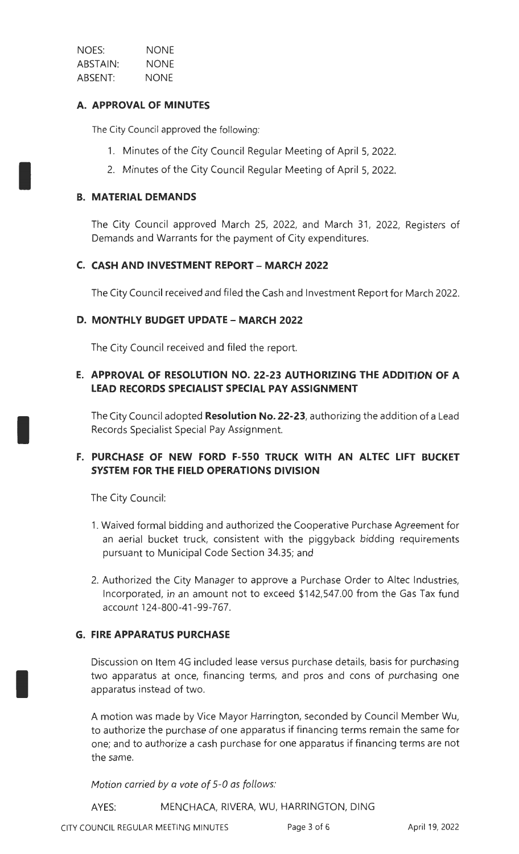| NOES:    | <b>NONE</b> |
|----------|-------------|
| ABSTAIN: | NONE        |
| ABSENT:  | NONE        |

## **A. APPROVAL OF MINUTES**

The City Council approved the following:

- 1. Minutes of the City Council Regular Meeting of April 5, 2022.
- 2. Minutes of the City Council Regular Meeting of April 5, 2022.

## **B. MATERIAL DEMANDS**

I

I

I

The City Council approved March 25, 2022, and March 31, 2022, Registers of Demands and Warrants for the payment of City expenditures.

## **C. CASH AND INVESTMENT REPORT - MARCH 2022**

The City Council received and filed the Cash and Investment Report for March 2022.

## **D. MONTHLY BUDGET UPDATE- MARCH 2022**

The City Council received and filed the report.

## **E. APPROVAL OF RESOLUTION NO. 22-23 AUTHORIZING THE ADDITION OF A LEAD RECORDS SPECIALIST SPECIAL PAY ASSIGNMENT**

The City Council adopted **Resolution No. 22-23,** authorizing the addition of a Lead Records Specialist Special Pay Assignment.

# **F. PURCHASE OF NEW FORD F-550 TRUCK WITH AN ALTEC LIFT BUCKET SYSTEM FOR THE FIELD OPERATIONS DIVISION**

The City Council:

- 1. Waived formal bidding and authorized the Cooperative Purchase Agreement for an aerial bucket truck, consistent with the piggyback bidding requirements pursuant to Municipal Code Section 34.35; and
- 2. Authorized the City Manager to approve a Purchase Order to Altec Industries, Incorporated, in an amount not to exceed \$142,547.00 from the Gas Tax fund account 124-800-41-99-767.

## **G. FIRE APPARATUS PURCHASE**

Discussion on Item 4G included lease versus purchase details, basis for purchasing two apparatus at once, financing terms, and pros and cons of purchasing one apparatus instead of two.

A motion was made by Vice Mayor Harrington, seconded by Council Member Wu, to authorize the purchase of one apparatus if financing terms remain the same for one; and to authorize a cash purchase for one apparatus if financing terms are not the same.

Motion carried *by* a vote of 5-0 as follows:

AYES: MENCHACA, RIVERA, WU, HARRINGTON, DING

CITY COUNCIL REGULAR MEETING MINUTES Page 3 of 6 April 19, 2022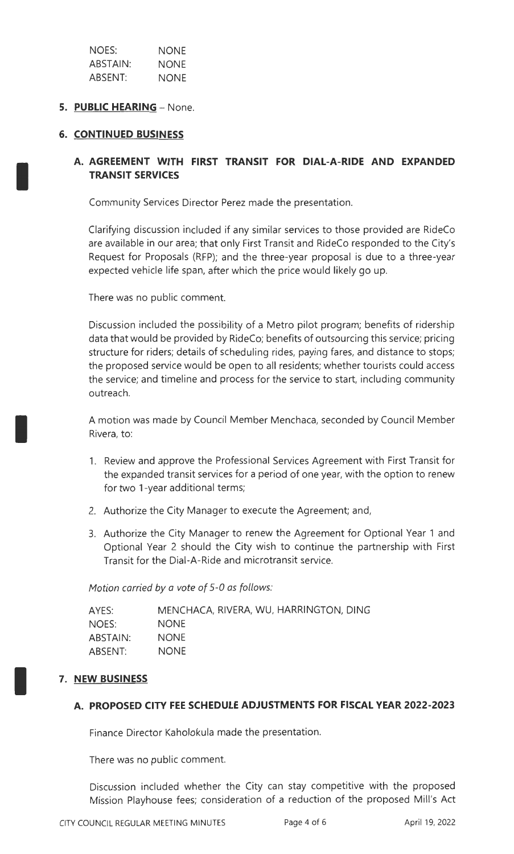| NOES:           | NONE        |
|-----------------|-------------|
| <b>ABSTAIN:</b> | <b>NONE</b> |
| ABSENT:         | <b>NONE</b> |

## **5. PUBLIC HEARING - None.**

## **6. CONTINUED BUSINESS**

I

I

# **A. AGREEMENT WITH FIRST TRANSIT FOR DIAL-A-RIDE AND EXPANDED TRANSIT SERVICES**

Community Services Director Perez made the presentation.

Clarifying discussion included if any similar services to those provided are RideCo are available in our area; that only First Transit and RideCo responded to the City's Request for Proposals (RFP); and the three-year proposal is due to a three-year expected vehicle life span, after which the price would likely go up.

There was no public comment.

Discussion included the possibility of a Metro pilot program; benefits of ridership data that would be provided by RideCo; benefits of outsourcing this service; pricing structure for riders; details of scheduling rides, paying fares, and distance to stops; the proposed service would be open to all residents; whether tourists could access the service; and timeline and process for the service to start, including community outreach.

A motion was made by Council Member Menchaca, seconded by Council Member Rivera, to:

- 1. Review and approve the Professional Services Agreement with First Transit for the expanded transit services for a period of one year, with the option to renew for two 1-year additional terms;
- 2. Authorize the City Manager to execute the Agreement; and,
- 3. Authorize the City Manager to renew the Agreement for Optional Year 1 and Optional Year 2 should the City wish to continue the partnership with First Transit for the Dial-A-Ride and microtransit service.

Motion carried by a vote of 5-0 as follows:

| AYES:    | MENCHACA, RIVERA, WU, HARRINGTON, DING |
|----------|----------------------------------------|
| NOES:    | <b>NONE</b>                            |
| ABSTAIN: | <b>NONE</b>                            |
| ABSENT:  | <b>NONE</b>                            |

## 7. NEW BUSINESS

#### **A. PROPOSED CITY FEE SCHEDULE ADJUSTMENTS FOR FISCAL YEAR 2022-2023**

Finance Director Kaholokula made the presentation.

There was no public comment.

Discussion included whether the City can stay competitive with the proposed Mission Playhouse fees; consideration of a reduction of the proposed Mill's Act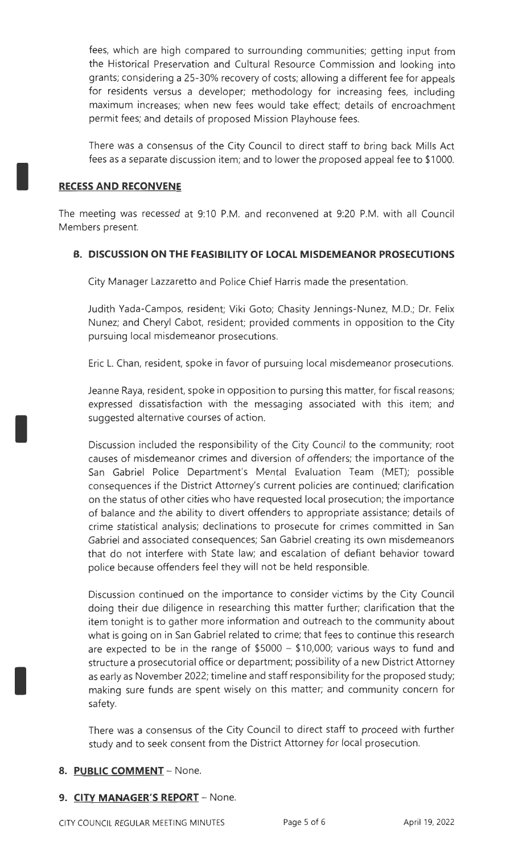fees, which are high compared to surrounding communities; getting input from the Historical Preservation and Cultural Resource Commission and looking into grants; considering a 25-30% recovery of costs; allowing a different fee for appeals for residents versus a developer; methodology for increasing fees, including maximum increases; when new fees would take effect; details of encroachment permit fees; and details of proposed Mission Playhouse fees.

There was a consensus of the City Council to direct staff to bring back Mills Act fees as a separate discussion item; and to lower the proposed appeal fee to \$1000.

## **RECESS AND RECONVENE**

I

I

I

The meeting was recessed at 9:10 P.M. and reconvened at 9:20 P.M. with all Council Members present.

## **B. DISCUSSION ON THE FEASIBILITY OF LOCAL MISDEMEANOR PROSECUTIONS**

City Manager Lazzaretto and Police Chief Harris made the presentation.

Judith Vada-Campos, resident; Viki Goto; Chasity Jennings-Nunez, M.D.; Dr. Felix Nunez; and Cheryl Cabot, resident; provided comments in opposition to the City pursuing local misdemeanor prosecutions.

Eric L. Chan, resident, spoke in favor of pursuing local misdemeanor prosecutions.

Jeanne Raya, resident, spoke in opposition to pursing this matter, for fiscal reasons; expressed dissatisfaction with the messaging associated with this item; and suggested alternative courses of action.

Discussion included the responsibility of the City Council to the community; root causes of misdemeanor crimes and diversion of offenders; the importance of the San Gabriel Police Department's Mental Evaluation Team (MET); possible consequences if the District Attorney's current policies are continued; clarification on the status of other cities who have requested local prosecution; the importance of balance and the ability to divert offenders to appropriate assistance; details of crime statistical analysis; declinations to prosecute for crimes committed in San Gabriel and associated consequences; San Gabriel creating its own misdemeanors that do not interfere with State law; and escalation of defiant behavior toward police because offenders feel they will not be held responsible.

Discussion continued on the importance to consider victims by the City Council doing their due diligence in researching this matter further; clarification that the item tonight is to gather more information and outreach to the community about what is going on in San Gabriel related to crime; that fees to continue this research are expected to be in the range of  $$5000 - $10,000$ ; various ways to fund and structure a prosecutorial office or department; possibility of a new District Attorney as early as November 2022; timeline and staff responsibility for the proposed study; making sure funds are spent wisely on this matter; and community concern for safety.

There was a consensus of the City Council to direct staff to proceed with further study and to seek consent from the District Attorney for local prosecution.

# 8. PUBLIC **COMMENT** - None.

## 9. CITY MANAGER'S REPORT - None.